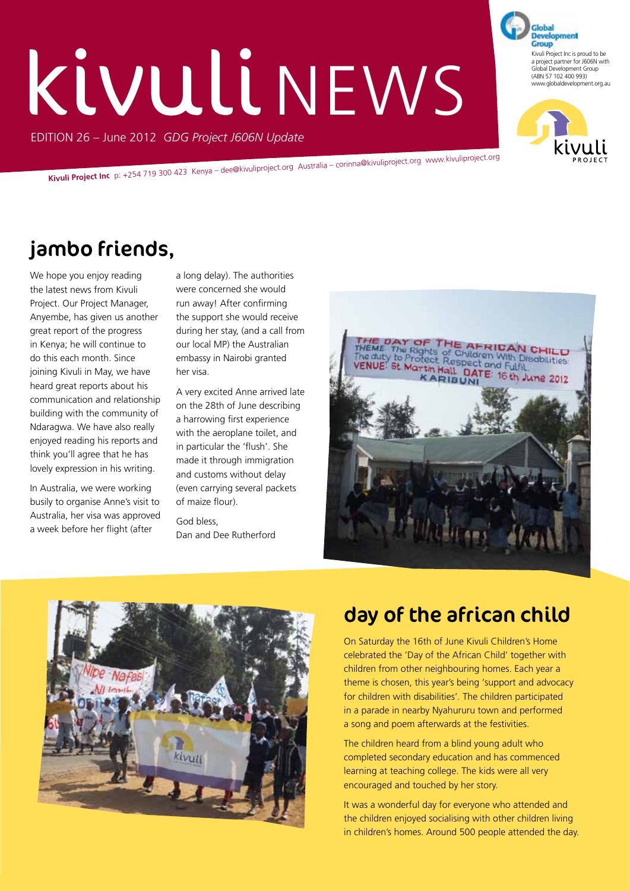# KIVULI NEWS

EDITION 26 – June 2012 *GDG Project J606N Update*

**Kivuli Project Inc** p: +254 719 300 423 Kenya – dee@kivuliproject.org Australia – corinna@kivuliproject.org www.kivuliproject.org

# jambo friends,

We hope you enjoy reading the latest news from Kivuli Project. Our Project Manager, Anyembe, has given us another great report of the progress in Kenya; he will continue to do this each month. Since joining Kivuli in May, we have heard great reports about his communication and relationship building with the community of Ndaragwa. We have also really enjoyed reading his reports and think you'll agree that he has lovely expression in his writing.

In Australia, we were working busily to organise Anne's visit to Australia, her visa was approved a week before her flight (after

a long delay). The authorities were concerned she would run away! After confirming the support she would receive during her stay, (and a call from our local MP) the Australian embassy in Nairobi granted her visa.

A very excited Anne arrived late on the 28th of June describing a harrowing first experience with the aeroplane toilet, and in particular the 'flush'. She made it through immigration and customs without delay (even carrying several packets of maize flour).

God bless, Dan and Dee Rutherford





# day of the african child

On Saturday the 16th of June Kivuli Children's Home celebrated the 'Day of the African Child' together with children from other neighbouring homes. Each year a theme is chosen, this year's being 'support and advocacy for children with disabilities'. The children participated in a parade in nearby Nyahururu town and performed a song and poem afterwards at the festivities.

The children heard from a blind young adult who completed secondary education and has commenced learning at teaching college. The kids were all very encouraged and touched by her story.

It was a wonderful day for everyone who attended and the children enjoyed socialising with other children living in children's homes. Around 500 people attended the day.



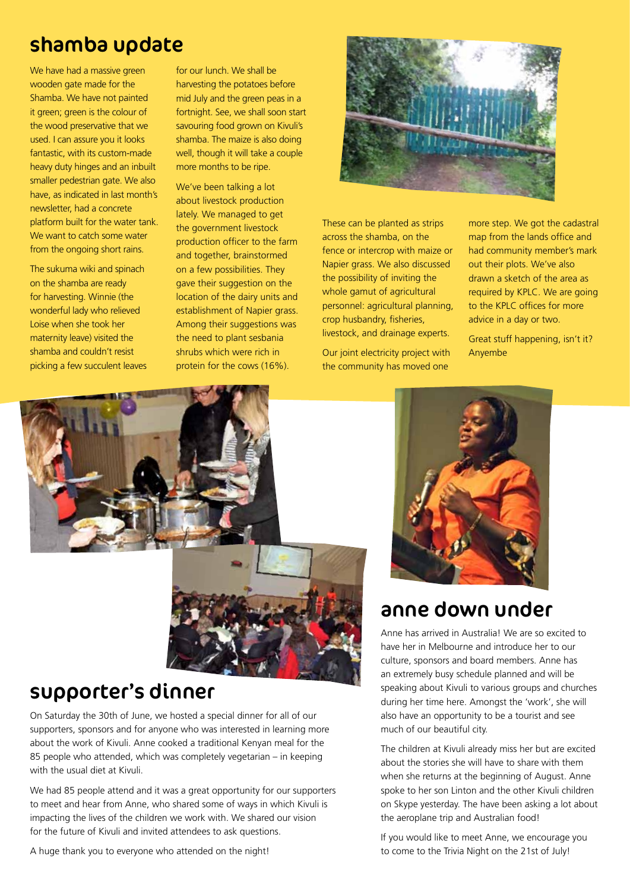# shamba update

We have had a massive green wooden gate made for the Shamba. We have not painted it green; green is the colour of the wood preservative that we used. I can assure you it looks fantastic, with its custom-made heavy duty hinges and an inbuilt smaller pedestrian gate. We also have, as indicated in last month's newsletter, had a concrete platform built for the water tank. We want to catch some water from the ongoing short rains.

The sukuma wiki and spinach on the shamba are ready for harvesting. Winnie (the wonderful lady who relieved Loise when she took her maternity leave) visited the shamba and couldn't resist picking a few succulent leaves for our lunch. We shall be harvesting the potatoes before mid July and the green peas in a fortnight. See, we shall soon start savouring food grown on Kivuli's shamba. The maize is also doing well, though it will take a couple more months to be ripe.

We've been talking a lot about livestock production lately. We managed to get the government livestock production officer to the farm and together, brainstormed on a few possibilities. They gave their suggestion on the location of the dairy units and establishment of Napier grass. Among their suggestions was the need to plant sesbania shrubs which were rich in protein for the cows (16%).



These can be planted as strips across the shamba, on the fence or intercrop with maize or Napier grass. We also discussed the possibility of inviting the whole gamut of agricultural personnel: agricultural planning, crop husbandry, fisheries, livestock, and drainage experts.

Our joint electricity project with the community has moved one

more step. We got the cadastral map from the lands office and had community member's mark out their plots. We've also drawn a sketch of the area as required by KPLC. We are going to the KPLC offices for more advice in a day or two.

Great stuff happening, isn't it? Anyembe





# supporter's dinner

On Saturday the 30th of June, we hosted a special dinner for all of our supporters, sponsors and for anyone who was interested in learning more about the work of Kivuli. Anne cooked a traditional Kenyan meal for the 85 people who attended, which was completely vegetarian – in keeping with the usual diet at Kivuli.

We had 85 people attend and it was a great opportunity for our supporters to meet and hear from Anne, who shared some of ways in which Kivuli is impacting the lives of the children we work with. We shared our vision for the future of Kivuli and invited attendees to ask questions.

A huge thank you to everyone who attended on the night!



## anne down under

Anne has arrived in Australia! We are so excited to have her in Melbourne and introduce her to our culture, sponsors and board members. Anne has an extremely busy schedule planned and will be speaking about Kivuli to various groups and churches during her time here. Amongst the 'work', she will also have an opportunity to be a tourist and see much of our beautiful city.

The children at Kivuli already miss her but are excited about the stories she will have to share with them when she returns at the beginning of August. Anne spoke to her son Linton and the other Kivuli children on Skype yesterday. The have been asking a lot about the aeroplane trip and Australian food!

If you would like to meet Anne, we encourage you to come to the Trivia Night on the 21st of July!